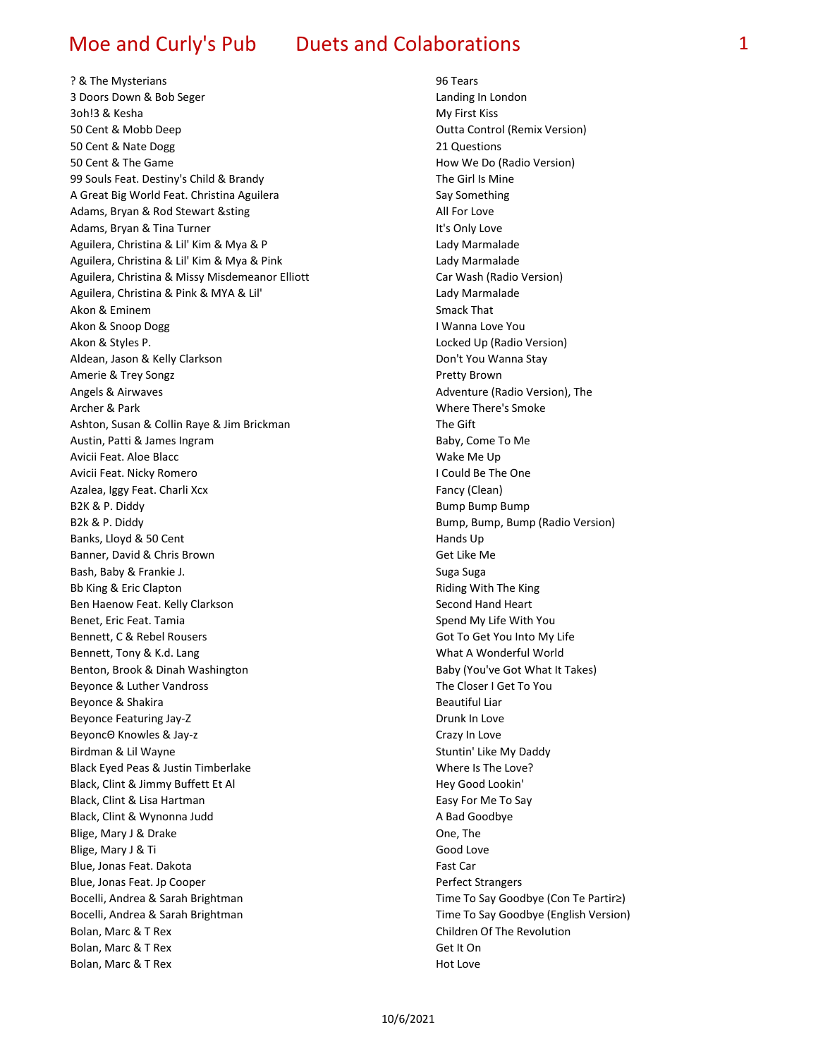? & The Mysterians 96 Tears 3 Doors Down & Bob Seger Landing In London 3oh!3 & Kesha My First Kiss 50 Cent & Mobb Deep Outta Control (Remix Version) 50 Cent & Nate Dogg 21 Questions 50 Cent & The Game **How We Do (Radio Version)** 99 Souls Feat. Destiny's Child & Brandy The Girl Is Mine A Great Big World Feat. Christina Aguilera Say Something Say Something Adams, Bryan & Rod Stewart & sting All For Love Adams, Bryan & Tina Turner **It's Only Love** It's Only Love Aguilera, Christina & Lil' Kim & Mya & P Latter Christian Marmalade Aguilera, Christina & Lil' Kim & Mya & Pink Lady Marmalade Aguilera, Christina & Missy Misdemeanor Elliott Car Wash (Radio Version) Aguilera, Christina & Pink & MYA & Lil' Christian Christian Marmalade Akon & Eminem Smack That Smack That Smack That Smack That Smack That Smack That Smack That Smack That Smack That Smack That Smack That Smack That Smack That Smack That Smack That Smack That Smack That Smack That Smack That Akon & Snoop Dogg **I Wanna Love You** Akon & Styles P. Locked Up (Radio Version) Aldean, Jason & Kelly Clarkson **Don't You Wanna Stay** Don't You Wanna Stay Amerie & Trey Songz **Pretty Brown** Angels & Airwaves **Adventure (Radio Version)**, The Archer & Park Where There's Smoke Ashton, Susan & Collin Raye & Jim Brickman The Gift Austin, Patti & James Ingram Baby, Come To Me Avicii Feat. Aloe Blacc Wake Me Up Avicii Feat. Nicky Romero **I Could Be The One** Azalea, Iggy Feat. Charli Xcx **Fancy (Clean) Fancy (Clean**) B2K & P. Diddy Bump Bump Bump B2k & P. Diddy **Bump, Bump, Bump, Bump (Radio Version**) Banks, Lloyd & 50 Cent Hands Up and Hands Up and Hands Up and Hands Up and Hands Up and Hands Up and Hands Up Banner, David & Chris Brown Get Like Me Bash, Baby & Frankie J. Suga Suga Bb King & Eric Clapton **Riding With The King Clapton** Riding With The King Ben Haenow Feat. Kelly Clarkson Second Hand Heart Second Hand Heart Benet, Eric Feat. Tamia Spend My Life With You Bennett, C & Rebel Rousers Communication of the Got To Get You Into My Life Bennett, Tony & K.d. Lang What A Wonderful World Benton, Brook & Dinah Washington Baby (You've Got What It Takes) Beyonce & Luther Vandross The Closer I Get To You Beyonce & Shakira Beautiful Liar Beautiful Liar Beyonce Featuring Jay-Z **Drunk In Love** Beyonce Featuring Jay-Z BeyoncΘ Knowles & Jay-z Crazy In Love Birdman & Lil Wayne Stuntin' Like My Daddy Black Eyed Peas & Justin Timberlake New York Controller Modern Monet Cove? Black, Clint & Jimmy Buffett Et Al **Hey Good Lookin'** Hey Good Lookin' Black, Clint & Lisa Hartman Easy For Me To Say Black, Clint & Wynonna Judd **A Bad Goodbye** A Bad Goodbye Blige, Mary J & Drake Cone, The One, The One, The One, The One, The One, The One, The One, The One, The One, The One, The One, The One, The One, The One, The One, The One, The One, The One, The One, The One, The One, The O Blige, Mary J & Ti Good Love Blue, Jonas Feat. Dakota **Fast Care and Taylor Care and Taylor** Fast Care Fast Car Blue, Jonas Feat. Jp Cooper **Perfect Strangers** Perfect Strangers Bocelli, Andrea & Sarah Brightman Time To Say Goodbye (Con Te Partir≥) Bocelli, Andrea & Sarah Brightman Time To Say Goodbye (English Version) Bolan, Marc & T Rex Children Of The Revolution Bolan, Marc & T Rex Get It On Bolan, Marc & T Rex Hot Love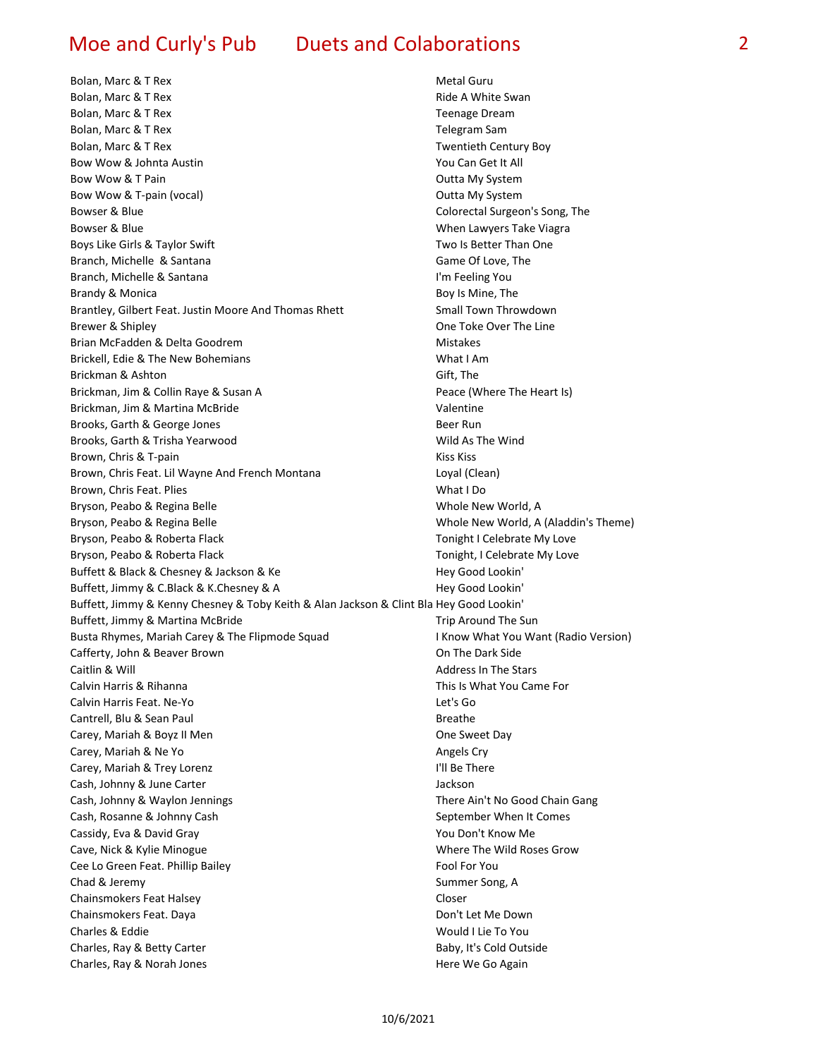Bolan, Marc & T Rex Metal Guru Bolan, Marc & T Rex Ride A White Swan **Bolan, Marc & T Rex Teenage Dream** Communication Communication Communication Communication Communication Communication Communication Communication Communication Communication Communication Communication Communication Comm Bolan, Marc & T Rex Telegram Samuel Controller and Telegram Samuel Controller and Telegram Samuel Controller and Telegram Samuel Controller and Telegram Samuel Controller and Telegram Samuel Controller and Telegram Samuel Bolan, Marc & T Rex Twentieth Century Boy Bow Wow & Johnta Austin The Communisties of the Vou Can Get It All Bow Wow & T Pain **Department Controller Controller Controller** Cutta My System Bow Wow & T-pain (vocal) and the control of the Coutta My System Bowser & Blue Colorectal Surgeon's Song, The Bowser & Blue **Bowser & Blue When Lawyers Take Viagra** Boys Like Girls & Taylor Swift The Two Is Better Than One Branch, Michelle & Santana Game Of Love, The Game Of Love, The Game Of Love, The Game Of Love, The Game Of Love, The Game Of Love, The Game Of Love, The Game Of Love, The Game Of Love, The Game Of Love, The Game Of Love, T Branch, Michelle & Santana **I'm Feeling You** Brandy & Monica **Boy Is Mine, The Boy Is Mine, The Boy Is Mine**, The Boy Is Mine, The Brantley, Gilbert Feat. Justin Moore And Thomas Rhett Small Town Throwdown Brewer & Shipley One Toke Over The Line Brian McFadden & Delta Goodrem Mistakes Brickell, Edie & The New Bohemians Matches And Muslim What I Am Brickman & Ashton Gift, The Brickman, Jim & Collin Raye & Susan A **Peace (Where The Heart Is)** Peace (Where The Heart Is) Brickman, Jim & Martina McBride Valentine Valentine Brooks, Garth & George Jones Beer Run Beer Run Brooks, Garth & Trisha Yearwood Wild As The Wind Brown, Chris & T-pain Kiss Kiss Brown, Chris Feat. Lil Wayne And French Montana Loyal (Clean) Brown, Chris Feat. Plies No. 2008 and Search Microsoft What I Do Bryson, Peabo & Regina Belle Whole New World, A Bryson, Peabo & Regina Belle Whole New World, A (Aladdin's Theme) Bryson, Peabo & Roberta Flack Tonight I Celebrate My Love Bryson, Peabo & Roberta Flack Tonight, I Celebrate My Love Buffett & Black & Chesney & Jackson & Ke **Hey Good Lookin'** Hey Good Lookin' Buffett, Jimmy & C.Black & K.Chesney & A **Hey Good Lookin'** Hey Good Lookin' Buffett, Jimmy & Kenny Chesney & Toby Keith & Alan Jackson & Clint Bla Hey Good Lookin' Buffett, Jimmy & Martina McBride Transaction Communisties of the Sun Trip Around The Sun Busta Rhymes, Mariah Carey & The Flipmode Squad **I Access 18 Now What You Want (Radio Version**) Cafferty, John & Beaver Brown Cassetts and Carlos Carl Con The Dark Side Caitlin & Will Address In The Stars Calvin Harris & Rihanna This Is What You Came For Calvin Harris Feat. Ne-Yo Let's Go Cantrell, Blu & Sean Paul Breathers and Breathers and Breathers and Breathers and Breathers and Breathers and Breathers Carey, Mariah & Boyz II Men **Carey**, Mariah & Boyz II Men Carey, Mariah & Ne Yo Angels Cry Carey, Mariah & Trey Lorenz **I'll Be There** Cash, Johnny & June Carter **Jackson** Cash, Johnny & Waylon Jennings There Ain't No Good Chain Gang Cash, Rosanne & Johnny Cash September When It Comes Cassidy, Eva & David Gray The Cassidy, Eva & David Gray The Cassidy, Eva & David Gray Cave, Nick & Kylie Minogue National Cave Motor Cave, Nick & Kylie Minogue Where The Wild Roses Grow Cee Lo Green Feat. Phillip Bailey Fool For You Chad & Jeremy Summer Song, A Chainsmokers Feat Halsey Coser Controller and Coser Coser Chainsmokers Feat. Daya Don't Let Me Down Charles & Eddie Would I Lie To You Charles, Ray & Betty Carter **Baby, It's Cold Outside** Baby, It's Cold Outside Charles, Ray & Norah Jones **Here We Go Again** And Charles, Ray & Norah Jones Here We Go Again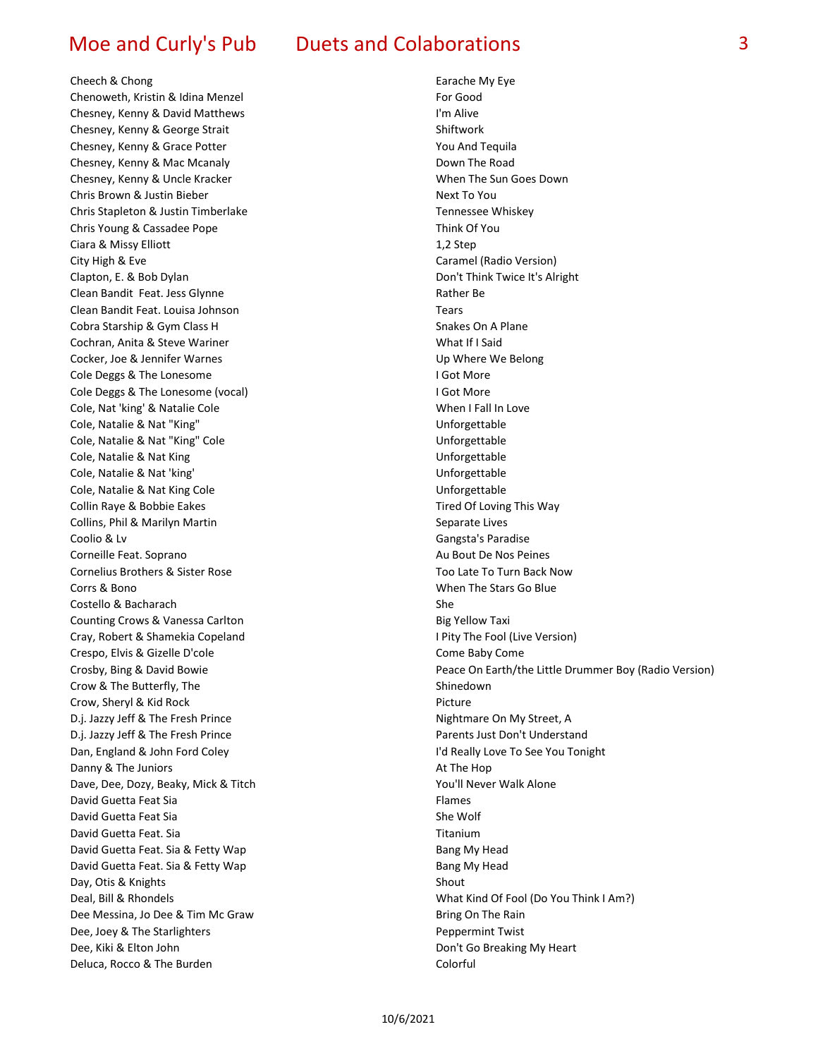### Cheech & Chong **Earache My Eye** Earache My Eye

Chenoweth, Kristin & Idina Menzel For Good Chesney, Kenny & David Matthews I'm Alive Chesney, Kenny & George Strait Shiftwork Chesney, Kenny & Grace Potter Theory And Tequila Chesney, Kenny & Mac Mcanaly Down The Road Chesney, Kenny & Uncle Kracker When The Sun Goes Down Chris Brown & Justin Bieber Next To You Chris Stapleton & Justin Timberlake Tennessee Whiskey Chris Young & Cassadee Pope Think Of You Ciara & Missy Elliott 1,2 Step City High & Eve Caramel (Radio Version) Clapton, E. & Bob Dylan Don't Think Twice It's Alright Clean Bandit Feat. Jess Glynne Rather Be Clean Bandit Feat. Louisa Johnson Tears Cobra Starship & Gym Class H Snakes On A Plane Cochran, Anita & Steve Wariner What If I Said Cocker, Joe & Jennifer Warnes Up Where We Belong Cole Deggs & The Lonesome **I Got More** I Got More Cole Deggs & The Lonesome (vocal) **I Got More** I Got More Cole, Nat 'king' & Natalie Cole When I Fall In Love Cole, Natalie & Nat "King" Material Cole, Natalie & Nat "King" Natalie and National Cole, Natalie & Nat "King" Cole, Natalie & Nat "King" Cole Unforgettable Cole, Natalie & Nat King Unforgettable Cole, Natalie & Nat 'king' and the cole of the Unforgettable Cole, Natalie & Nat King Cole University Cole Unforgettable Collin Raye & Bobbie Eakes Tired Of Loving This Way Collins, Phil & Marilyn Martin Separate Lives Coolio & Lv Gangsta's Paradise Corneille Feat. Soprano **Au Bout De Nos Peines** Au Bout De Nos Peines Cornelius Brothers & Sister Rose Too Late To Turn Back Now Corrs & Bono When The Stars Go Blue Costello & Bacharach She Counting Crows & Vanessa Carlton **Big Yellow Taxi** Big Yellow Taxi Cray, Robert & Shamekia Copeland I Pity The Fool (Live Version) Crespo, Elvis & Gizelle D'cole Come Baby Come Baby Come Crow & The Butterfly, The Shinedown Shinedown Crow, Sheryl & Kid Rock Picture D.j. Jazzy Jeff & The Fresh Prince Nightmare On My Street, A D.j. Jazzy Jeff & The Fresh Prince **Parents Just Don't Understand** Dan, England & John Ford Coley I'd Really Love To See You Tonight Danny & The Juniors **At The Hop** At The Hop and At The Hop At The Hop and At The Hop Dave, Dee, Dozy, Beaky, Mick & Titch You'll Never Walk Alone David Guetta Feat Sia Flames David Guetta Feat Sia Shewolf She Wolf She Wolf Shewolf David Guetta Feat. Sia The Communication of the Communication of the Titanium David Guetta Feat. Sia & Fetty Wap Bang My Head Bang My Head David Guetta Feat. Sia & Fetty Wap Bang My Head Day, Otis & Knights Shout Dee Messina, Jo Dee & Tim Mc Graw Bring On The Rain Dee, Joey & The Starlighters **Peppermint Twist** Dee, Kiki & Elton John Don't Go Breaking My Heart Deluca, Rocco & The Burden Colorful

Crosby, Bing & David Bowie Peace On Earth/the Little Drummer Boy (Radio Version) Deal, Bill & Rhondels What Kind Of Fool (Do You Think I Am?)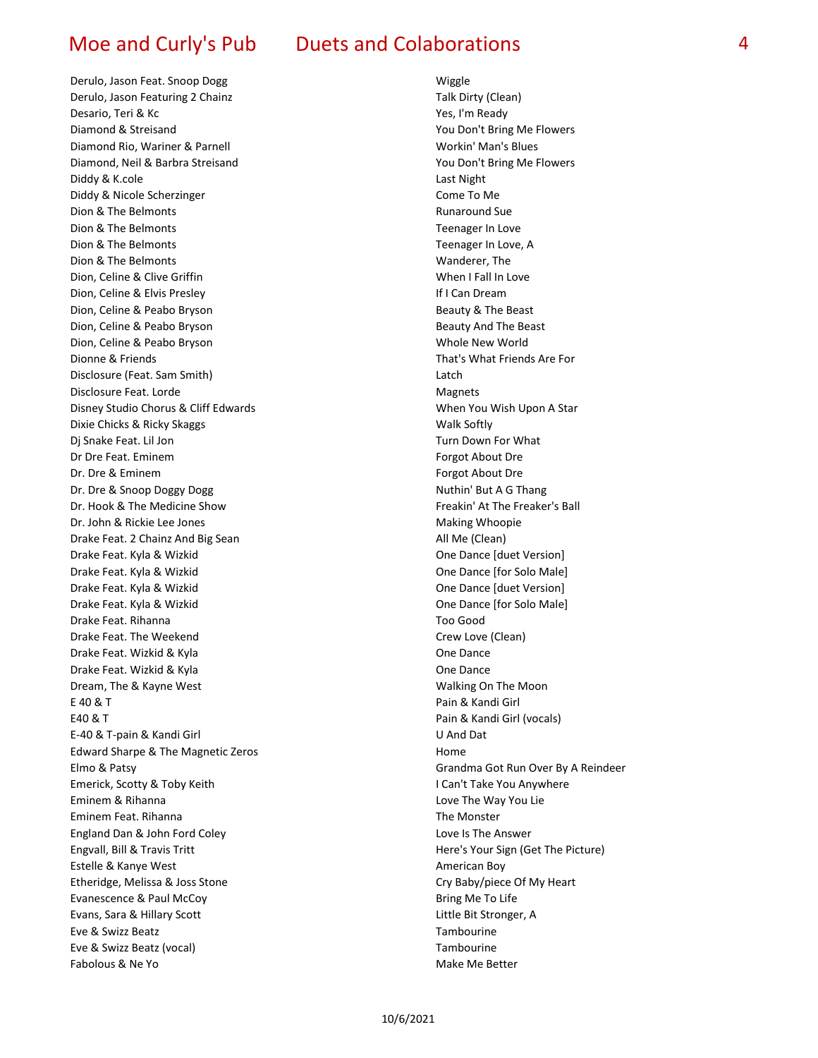Derulo, Jason Feat. Snoop Dogg Wiggle Derulo, Jason Featuring 2 Chainz Talk Dirty (Clean) Desario, Teri & Kc Yes, I'm Ready Diamond & Streisand You Don't Bring Me Flowers Diamond Rio, Wariner & Parnell Workin' Man's Blues Diamond, Neil & Barbra Streisand You Don't Bring Me Flowers Diddy & K.cole Last Night Diddy & Nicole Scherzinger Come To Me Dion & The Belmonts **Runaround Sue Runaround Sue** Dion & The Belmonts **Teenager** In Love Dion & The Belmonts **Teenager In Love, A The Belmonts** Teenager In Love, A Dion & The Belmonts North Wanderer, The Wanderer, The Wanderer, The Wanderer, The Wanderer, The Wanderer, The Wanderer, The Wanderer, The Wanderer, The Wanderer, The Wanderer, The Wanderer, The Wanderer, The Wanderer, The Dion, Celine & Clive Griffin When I Fall In Love Dion, Celine & Elvis Presley **If I Can Dream** Dion, Celine & Peabo Bryson Beauty & The Beast Dion, Celine & Peabo Bryson **Beauty And The Beast** Dion, Celine & Peabo Bryson Whole New World Dionne & Friends That's What Friends Are For Disclosure (Feat. Sam Smith) Latch Disclosure Feat. Lorde **Magnets** Magnets Disney Studio Chorus & Cliff Edwards Noting the Music Chorus When You Wish Upon A Star Dixie Chicks & Ricky Skaggs Walk Softly Dj Snake Feat. Lil Jon Turn Down For What Dr Dre Feat. Eminem Forgot About Dre Forgot About Dre Dr. Dre & Eminem Forgot About Dre & Eminem Dr. Dre & Snoop Doggy Dogg Nuthin' But A G Thang Dr. Hook & The Medicine Show Freakin' At The Freaker's Ball Dr. John & Rickie Lee Jones Making Whoopie Drake Feat. 2 Chainz And Big Sean All Me (Clean) Drake Feat. Kyla & Wizkid One Dance [duet Version] Drake Feat. Kyla & Wizkid One Dance [for Solo Male] Drake Feat. Kyla & Wizkid One Dance [duet Version] Drake Feat. Kyla & Wizkid One Dance [for Solo Male] Drake Feat. Rihanna Too Good Drake Feat. The Weekend Crew Love (Clean) Drake Feat. Wizkid & Kyla **One Dance** One Dance Drake Feat. Wizkid & Kyla **One Dance** Dream, The & Kayne West Walking On The Moon E 40 & T Pain & Kandi Girl E40 & T Pain & Kandi Girl (vocals) E-40 & T-pain & Kandi Girl U And Dat Edward Sharpe & The Magnetic Zeros entitled and the Mome Elmo & Patsy Grandma Got Run Over By A Reindeer Emerick, Scotty & Toby Keith I Can't Take You Anywhere Eminem & Rihanna Love The Way You Lie Eminem Feat. Rihanna The Monster England Dan & John Ford Coley Love Is The Answer Engvall, Bill & Travis Tritt Here's Your Sign (Get The Picture) Estelle & Kanye West **American Boy American Boy** Etheridge, Melissa & Joss Stone Cry Baby/piece Of My Heart Evanescence & Paul McCoy **Bring Me To Life** Bring Me To Life Evans, Sara & Hillary Scott **Little Bit Stronger, A** Eve & Swizz Beatz Tambourine Eve & Swizz Beatz (vocal) Tambourine Fabolous & Ne Yo Make Me Better (1990) and the Make Me Better (1990) and the Make Me Better (1990) and the Make Me Better (1990) and the Make Me Better (1990) and the Make Me Better (1990) and the Make Me Better (1990) and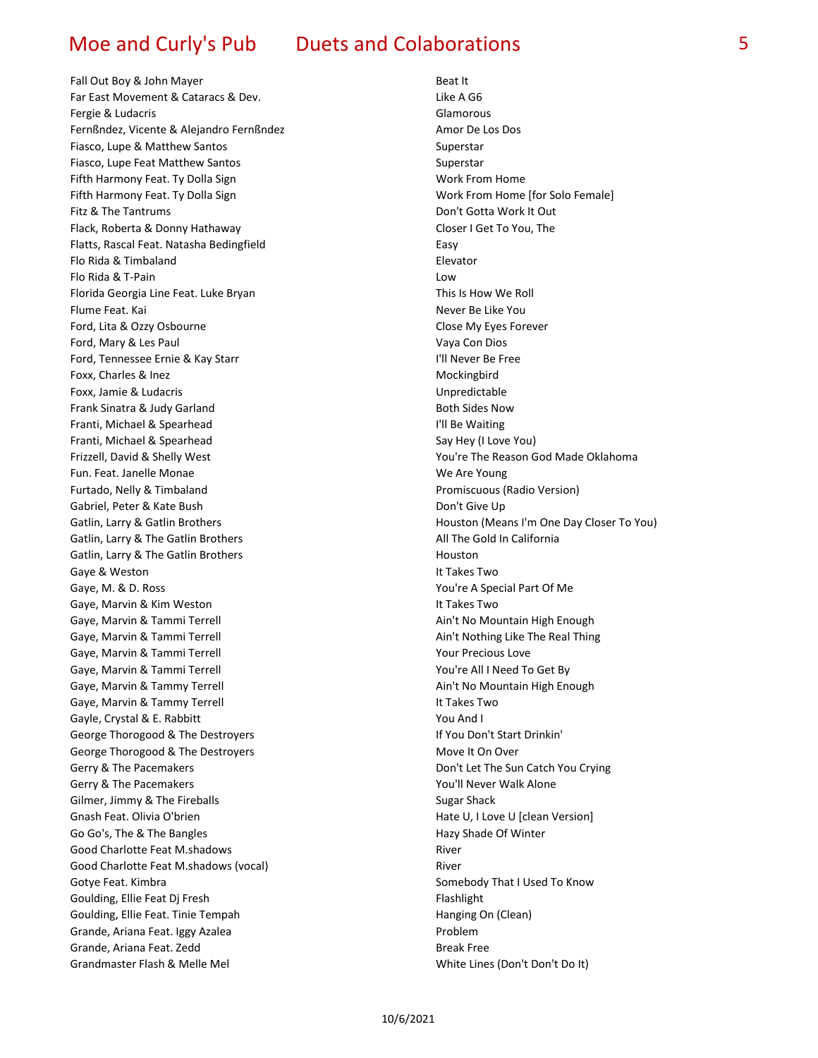Fall Out Boy & John Mayer Beat It Far East Movement & Cataracs & Dev. Contract Contract Contract Contract Contract Contract Contract Contract Co Fergie & Ludacris Glamorous Fernßndez, Vicente & Alejandro Fernßndez Amor De Los Dos Fiasco, Lupe & Matthew Santos Superstar Superstar Fiasco, Lupe Feat Matthew Santos Superstar Superstar Fifth Harmony Feat. Ty Dolla Sign Work From Home Work From Home Fifth Harmony Feat. Ty Dolla Sign Work From Home [for Solo Female] Fitz & The Tantrums **Don't Gotta Work It Out During the Tantrums** Don't Gotta Work It Out Flack, Roberta & Donny Hathaway **Closer I Get To You, The** Closer I Get To You, The Flatts, Rascal Feat. Natasha Bedingfield Easy Flo Rida & Timbaland Elevator Flo Rida & T-Pain Low Florida Georgia Line Feat. Luke Bryan This Is How We Roll Flume Feat. Kai Never Be Like You are the Mercedes of the Mercedes of the Mercedes of the Mercedes of the Mercedes of the Mercedes of the Mercedes of the Mercedes of the Mercedes of the Mercedes of the Mercedes of the Merc Ford, Lita & Ozzy Osbourne **Contained Accord Close My Eyes Forever** Close My Eyes Forever Ford, Mary & Les Paul Vaya Con Dios Ford, Tennessee Ernie & Kay Starr III Never Be Free Foxx, Charles & Inez Mockingbird Foxx, Jamie & Ludacris and Electronic Unpredictable Unpredictable Frank Sinatra & Judy Garland Both Sides Now Franti, Michael & Spearhead I'll Be Waiting Franti, Michael & Spearhead Say Hey (I Love You) Say Hey (I Love You) Frizzell, David & Shelly West You're The Reason God Made Oklahoma Fun. Feat. Janelle Monae We Are Young Furtado, Nelly & Timbaland Promiscuous (Radio Version) Gabriel, Peter & Kate Bush de Care et al. 2010 and the Captain Con't Give Up Gatlin, Larry & The Gatlin Brothers **All The Gold In California** All The Gold In California Gatlin, Larry & The Gatlin Brothers **Houston** Houston Gaye & Weston **It Takes Two** Gaye, M. & D. Ross The Communication of Medical Part Of Medical Part Of Medical Part Of Medical Part Of Me Gaye, Marvin & Kim Weston **It Takes Two** Gaye, Marvin & Tammi Terrell **Ainter and Aintimum Ainter Ainte Ainte Ainte Ainte Ainte Ainte Ainte Ainte Ainte A** Gaye, Marvin & Tammi Terrell **Accord Aintimum Containers** Ain't Nothing Like The Real Thing Gaye, Marvin & Tammi Terrell **The Contract of Contract Contract Contract Contract Contract Contract Contract Contract Contract Contract Contract Contract Contract Contract Contract Contract Contract Contract Contract Contr** Gaye, Marvin & Tammi Terrell You're All I Need To Get By Gaye, Marvin & Tammy Terrell **Ainter and Aint Ain't No Mountain High Enough** Ain't No Mountain High Enough Gaye, Marvin & Tammy Terrell **It Takes Two** Gayle, Crystal & E. Rabbitt You And I George Thorogood & The Destroyers **If You Don't Start Drinkin'** George Thorogood & The Destroyers Move It On Over Gerry & The Pacemakers **Don't Let The Sun Catch You Crying** Gerry & The Pacemakers The Pacemakers The Control of the Voull Never Walk Alone Gilmer, Jimmy & The Fireballs Sugar Shack Gnash Feat. Olivia O'brien Hate U, I Love U [clean Version] Go Go's, The & The Bangles **Hazy Shade Of Winter** Hazy Shade Of Winter Good Charlotte Feat M.shadows **River** River Good Charlotte Feat M.shadows (vocal) and a series of the River Gotye Feat. Kimbra Somebody That I Used To Know Goulding, Ellie Feat Dj Fresh Flash Flash Flash Flash Flash Flash Flash Flash Flash Flash Flash Flash Flash Flash Flash Flash Flash Flash Flash Flash Flash Flash Flash Flash Flash Flash Flash Flash Flash Flash Flash Flash Goulding, Ellie Feat. Tinie Tempah **Hanging On (Clean)** Hanging On (Clean) Grande, Ariana Feat. Iggy Azalea **Problem** Grande, Ariana Feat. Zedd Break Free Grandmaster Flash & Melle Mel White Lines (Don't Don't Don't Don't Don't Don't Don't Don't Don't Don't Don't Do

Gatlin, Larry & Gatlin Brothers **Houston (Means I'm One Day Closer To You**) **Houston (Means I'm One Day Closer To You**)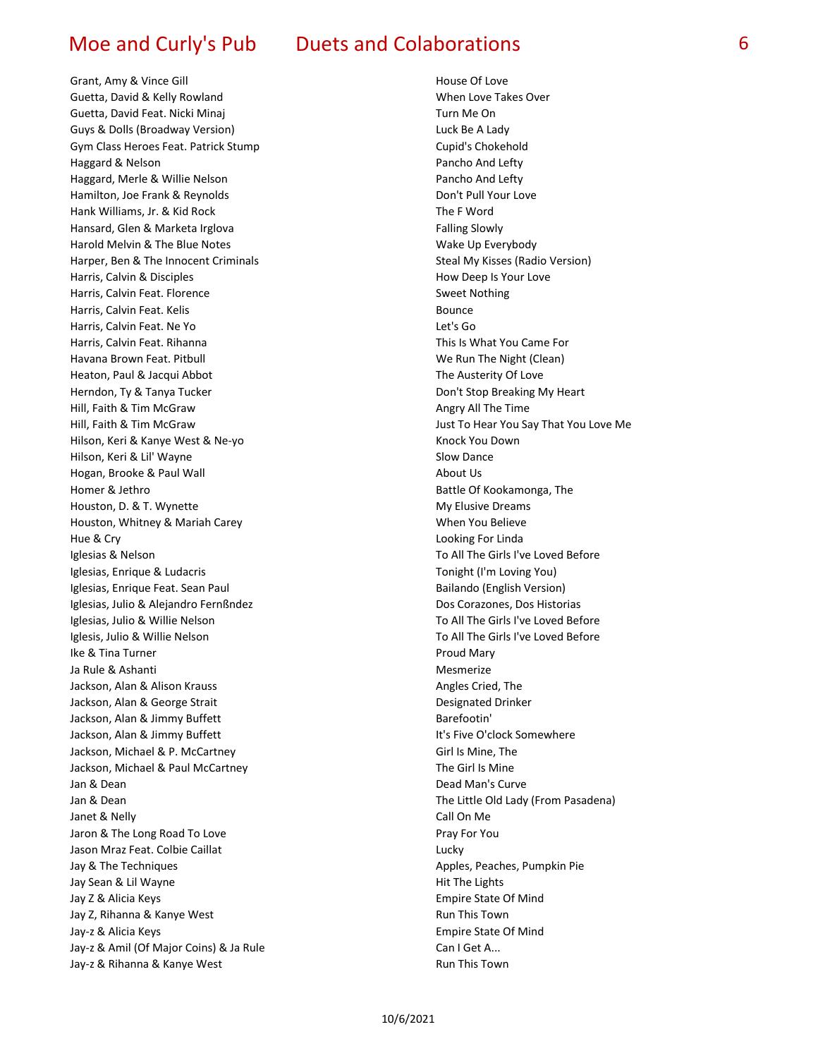Grant, Amy & Vince Gill **House Of Love House Of Love** Guetta, David & Kelly Rowland When Love Takes Over Guetta, David Feat. Nicki Minaj Nicki Shahara Turn Me On Guys & Dolls (Broadway Version) Luck Be A Lady Gym Class Heroes Feat. Patrick Stump Cupid's Chokehold Haggard & Nelson Pancho And Lefty Haggard, Merle & Willie Nelson Pancho And Lefty Hamilton, Joe Frank & Reynolds **Don't Pull Your Love** Don't Pull Your Love Hank Williams, Jr. & Kid Rock The F Word Hansard, Glen & Marketa Irglova **Falling Slowly** Falling Slowly Harold Melvin & The Blue Notes Material Communication of March Wake Up Everybody Harper, Ben & The Innocent Criminals Steal My Kisses (Radio Version) Harris, Calvin & Disciples **How Deep Is Your Love** How Deep Is Your Love Harris, Calvin Feat. Florence Sweet Nothing Harris, Calvin Feat. Kelis **Bounce** Bounce Harris, Calvin Feat. Ne Yo Let's Go Let's Go Harris, Calvin Feat. Rihanna This Is What You Came For Havana Brown Feat. Pitbull We Run The Night (Clean) Heaton, Paul & Jacqui Abbot The Austerity Of Love Herndon, Ty & Tanya Tucker **Don't Stop Breaking My Heart** Don't Stop Breaking My Heart Hill, Faith & Tim McGraw Angry All The Time Hill, Faith & Tim McGraw Just To Hear You Say That You Love Me Hilson, Keri & Kanye West & Ne-yo Knock You Down Hilson, Keri & Lil' Wayne Slow Dance Hogan, Brooke & Paul Wall About Us Homer & Jethro **Battle Of Kookamonga**, The Houston, D. & T. Wynette My Elusive Dreams My Elusive Dreams Houston, Whitney & Mariah Carey Manus Carey Museum Museum When You Believe Hue & Cry Looking For Linda Iglesias & Nelson To All The Girls I've Loved Before Iglesias, Enrique & Ludacris Tonight (I'm Loving You) Iglesias, Enrique Feat. Sean Paul Bailando (English Version) Bailando (English Version) Iglesias, Julio & Alejandro Fernßndez Dos Corazones, Dos Historias Iglesias, Julio & Willie Nelson To All The Girls I've Loved Before Iglesis, Julio & Willie Nelson The Girls I've Loved Before To All The Girls I've Loved Before **Ike & Tina Turner Proud Mary Proud Mary Proud Mary** Ja Rule & Ashanti Mesmerize Jackson, Alan & Alison Krauss Angles Cried, The Angles Cried, The Angles Cried, The Angles Cried, The Angles Cried, The Angles Cried, The Angles Cried, The Angles Cried, The Angles Cried, The Angles Cried, The Angles Cried Jackson, Alan & George Strait **Designated Drinker Designated Drinker** Jackson, Alan & Jimmy Buffett Barefootin' Jackson, Alan & Jimmy Buffett **It's Five O'clock Somewhere** Jackson, Michael & P. McCartney Care Communication of Girl Is Mine, The Jackson, Michael & Paul McCartney The Girl Is Mine Jan & Dean Dead Man's Curve Jan & Dean The Little Old Lady (From Pasadena) Janet & Nelly Call On Me Jaron & The Long Road To Love **Pray For You** Pray For You Jason Mraz Feat. Colbie Caillat Lucky Jay & The Techniques **Apples, Peaches, Pumpkin Pie** Jay Sean & Lil Wayne **Hit The Lights** Jay Z & Alicia Keys **Empire State Of Mind** Jay Z, Rihanna & Kanye West **Run This Town** Jay-z & Alicia Keys **Empire State Of Mind** Jay-z & Amil (Of Major Coins) & Ja Rule Can I Get A... Jay-z & Rihanna & Kanye West **Run This Town** Run This Town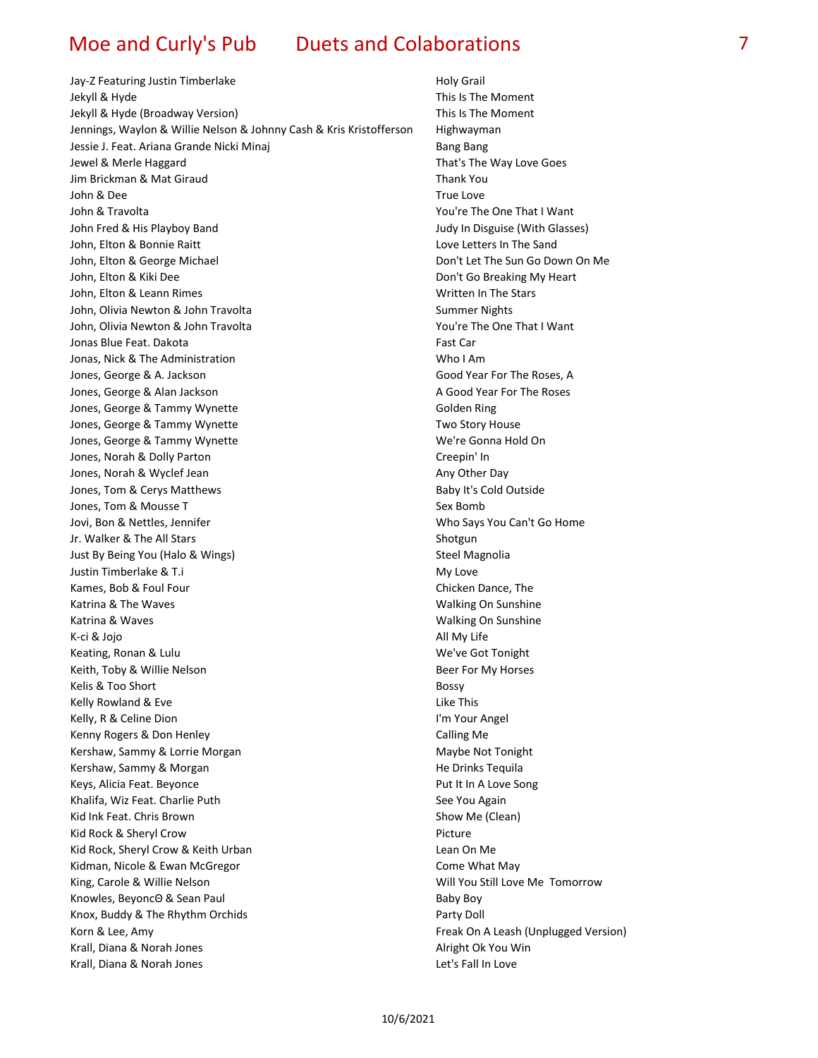Jay-Z Featuring Justin Timberlake Holy Grail Jekyll & Hyde This Is The Moment Community of the Moment Community of the Moment Community of the Moment Community of the Moment Community of the Moment Community of the Moment Community of the Moment Community of the Mome Jekyll & Hyde (Broadway Version) This Is The Moment Jennings, Waylon & Willie Nelson & Johnny Cash & Kris Kristofferson Highwayman Jessie J. Feat. Ariana Grande Nicki Minaj **Bang Bang Bang Bang Bang Bang Bang Bang** Jewel & Merle Haggard That's The Way Love Goes Jim Brickman & Mat Giraud Thank You John & Dee True Love John & Travolta You're The One That I Want John Fred & His Playboy Band **Judy In Disguise (With Glasses)** John, Elton & Bonnie Raitt Love Letters In The Sand John, Elton & George Michael **Don't Let The Sun Go Down On Me** John, Elton & Kiki Dee **Don't Go Breaking My Heart** John, Elton & Leann Rimes November 2012 1999 and Muslim Written In The Stars John, Olivia Newton & John Travolta Summer Nights Summer Nights John, Olivia Newton & John Travolta You're The One That I Want Jonas Blue Feat. Dakota Fast Care Fast Care Fast Care Fast Care Fast Care Fast Care Fast Care Fast Care Fast Car Jonas, Nick & The Administration Who I Am Jones, George & A. Jackson Good Year For The Roses, A Jones, George & Alan Jackson A Good Year For The Roses Jones, George & Tammy Wynette Golden Ring Jones, George & Tammy Wynette Two Story House Jones, George & Tammy Wynette We're Gonna Hold On Jones, Norah & Dolly Parton Creepin' In Jones, Norah & Wyclef Jean Any Other Day Jones, Tom & Cerys Matthews **Baby It's Cold Outside** Jones, Tom & Mousse T Sex Bomb Jovi, Bon & Nettles, Jennifer Who Says You Can't Go Home Jr. Walker & The All Stars Shotgun and Shotgun Shotgun and Shotgun Shotgun Shotgun Shotgun Shotgun Shotgun Shotgun Shotgun Shotgun Shotgun Shotgun Shotgun Shotgun Shotgun Shotgun Shotgun Shotgun Shotgun Shotgun Shotgun Sho Just By Being You (Halo & Wings) Steel Magnolia Justin Timberlake & T.i My Love Kames, Bob & Foul Four Chicken Dance, The Chicken Dance, The Chicken Dance, The Chicken Dance, The Chicken Dance, The Chicken Dance, The Chicken Dance, The Chicken Dance, The Chicken Dance, The Chicken Dance, The Chicken D Katrina & The Waves **Walking On Sunshine** Walking On Sunshine Katrina & Waves **Walking On Sunshine** Walking On Sunshine K-ci & Jojo All My Life Keating, Ronan & Lulu We've Got Tonight Keith, Toby & Willie Nelson Beer For My Horses Kelis & Too Short Bossy and the Bossy and the Bossy and the Bossy and the Bossy and the Bossy and the Bossy and Kelly Rowland & Eve Like This And The Like This Assembly Rowland & Eve Like This Kelly, R & Celine Dion **I'm Your Angel** Kenny Rogers & Don Henley Calling Me Kershaw, Sammy & Lorrie Morgan Maybe Not Tonight Kershaw, Sammy & Morgan **He Drinks Tequila** He Drinks Tequila Keys, Alicia Feat. Beyonce **Put It In A Love Song** Khalifa, Wiz Feat. Charlie Puth See You Again Kid Ink Feat. Chris Brown Show Me (Clean) Kid Rock & Sheryl Crow Picture Kid Rock, Sheryl Crow & Keith Urban Lean On Me Kidman, Nicole & Ewan McGregor Come What May King, Carole & Willie Nelson Nelson Will You Still Love Me Tomorrow Knowles, BeyoncΘ & Sean Paul Baby Boy Knox, Buddy & The Rhythm Orchids **Party Doll** Party Doll Korn & Lee, Amy Freak On A Leash (Unplugged Version) Krall, Diana & Norah Jones Alright Ok You Win Krall, Diana & Norah Jones Let's Fall In Love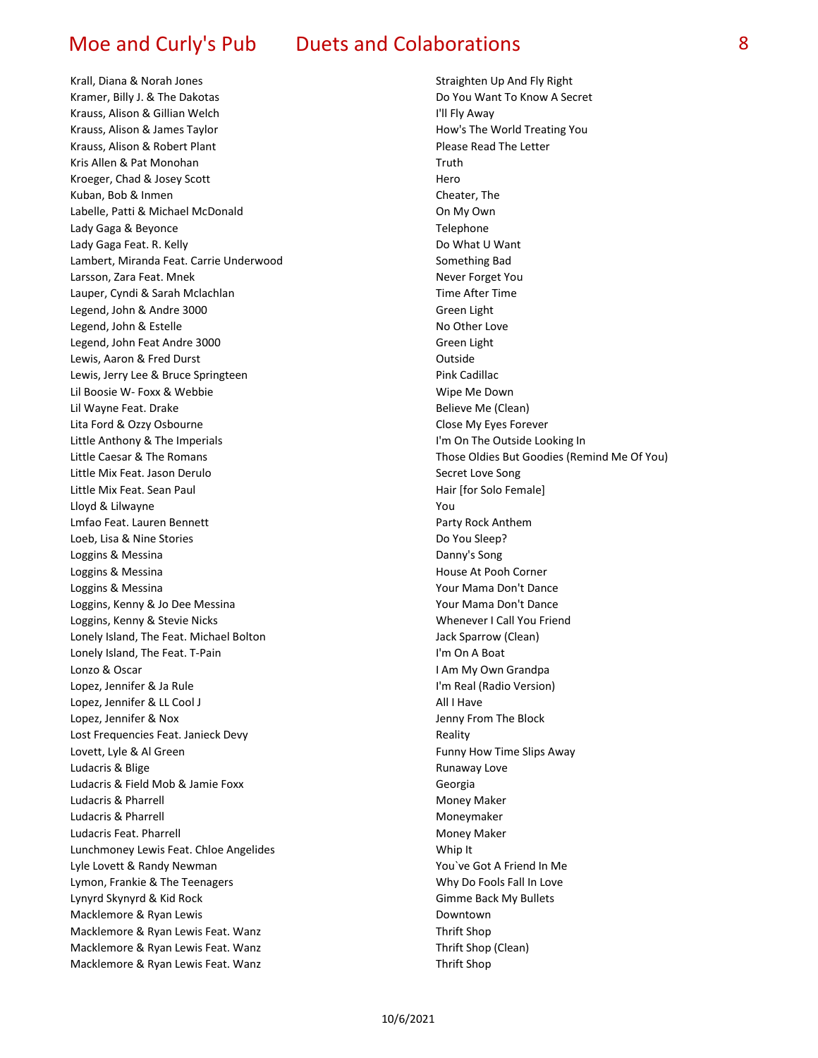Krall, Diana & Norah Jones Straighten Up And Fly Right Kramer, Billy J. & The Dakotas **Do You Want To Know A Secret** Krauss, Alison & Gillian Welch I'll Fly Away Krauss, Alison & James Taylor Now The World Treating You How's The World Treating You Krauss, Alison & Robert Plant Please Read The Letter Kris Allen & Pat Monohan Truth Kroeger, Chad & Josey Scott **Hero** Hero Kuban, Bob & Inmen Cheater, The Labelle, Patti & Michael McDonald **Case Contract Contract Contract Contract Contract Contract Contract Contract Contract Contract Contract Contract Contract Contract Contract Contract Contract Contract Contract Contract Co** Lady Gaga & Beyonce **Telephone** Telephone Lady Gaga Feat. R. Kelly **Do What U Want** Do What U Want Lambert, Miranda Feat. Carrie Underwood Something Bad Larsson, Zara Feat. Mnek New You are a set of the Never Forget You and Never Forget You Lauper, Cyndi & Sarah Mclachlan Time After Time After Time Legend, John & Andre 3000 Green Light Legend, John & Estelle No Other Love No Other Love Legend, John Feat Andre 3000 Green Light Lewis, Aaron & Fred Durst Contract Contract Contract Contract Contract Contract Contract Contract Contract Contract Contract Contract Contract Contract Contract Contract Contract Contract Contract Contract Contract Contrac Lewis, Jerry Lee & Bruce Springteen **Pink Cadillac** Lil Boosie W- Foxx & Webbie Wipe Me Down Lil Wayne Feat. Drake Believe Me (Clean) Lita Ford & Ozzy Osbourne **Close My Eyes Forever** Close My Eyes Forever Little Anthony & The Imperials Internal Control of the Outside Looking Internal Control of the Outside Looking In Little Caesar & The Romans Those Oldies But Goodies (Remind Me Of You) Little Mix Feat. Jason Derulo Secret Love Song Little Mix Feat. Sean Paul **Hair and Accord Feature 10 Contract Contract Feature 1** Hair [for Solo Female] Lloyd & Lilwayne The True You are the You and You are the You are the You are the You Lmfao Feat. Lauren Bennett **Party Rock Anthem** Loeb, Lisa & Nine Stories **Do You Sleep? Do You Sleep?** Loggins & Messina **Danny's Song** Loggins & Messina **House At Pooh Corner** Loggins & Messina November 2012 12:30 and 2013 12:30 AM November 2013 12:30 AM November 2013 12:30 AM November 20 Loggins, Kenny & Jo Dee Messina Your Mama Don't Dance Loggins, Kenny & Stevie Nicks Whenever I Call You Friend Lonely Island, The Feat. Michael Bolton Jack Sparrow (Clean) Lonely Island, The Feat. T-Pain Iversity Contract the Unit of the Unit On A Boat Lonzo & Oscar **I Am My Own Grandpa** Lopez, Jennifer & Ja Rule I'm Real (Radio Version) Lopez, Jennifer & LL Cool J All I Have All I Have All I Have All I Have All I Have All I Have All I Have All I Have Lopez, Jennifer & Nox Jenny From The Block Lost Frequencies Feat. Janieck Devy **Reality** Reality Lovett, Lyle & Al Green Funny How Time Slips Away Ludacris & Blige **Runaway Love Runaway Love** Runaway Love Ludacris & Field Mob & Jamie Foxx Georgia Ludacris & Pharrell **Money Maker** Money Maker Ludacris & Pharrell **Moneymaker** Moneymaker Ludacris Feat. Pharrell Money Maker Lunchmoney Lewis Feat. Chloe Angelides The Million Channel Whip It Lyle Lovett & Randy Newman You've Got A Friend In Me Lymon, Frankie & The Teenagers November 2012 1999 and More Why Do Fools Fall In Love Lynyrd Skynyrd & Kid Rock Gimme Back My Bullets Macklemore & Ryan Lewis **Downtown** Macklemore & Ryan Lewis Feat. Wanz Thrift Shop Macklemore & Ryan Lewis Feat. Wanz Thrift Shop (Clean) Macklemore & Ryan Lewis Feat. Wanz Thrift Shop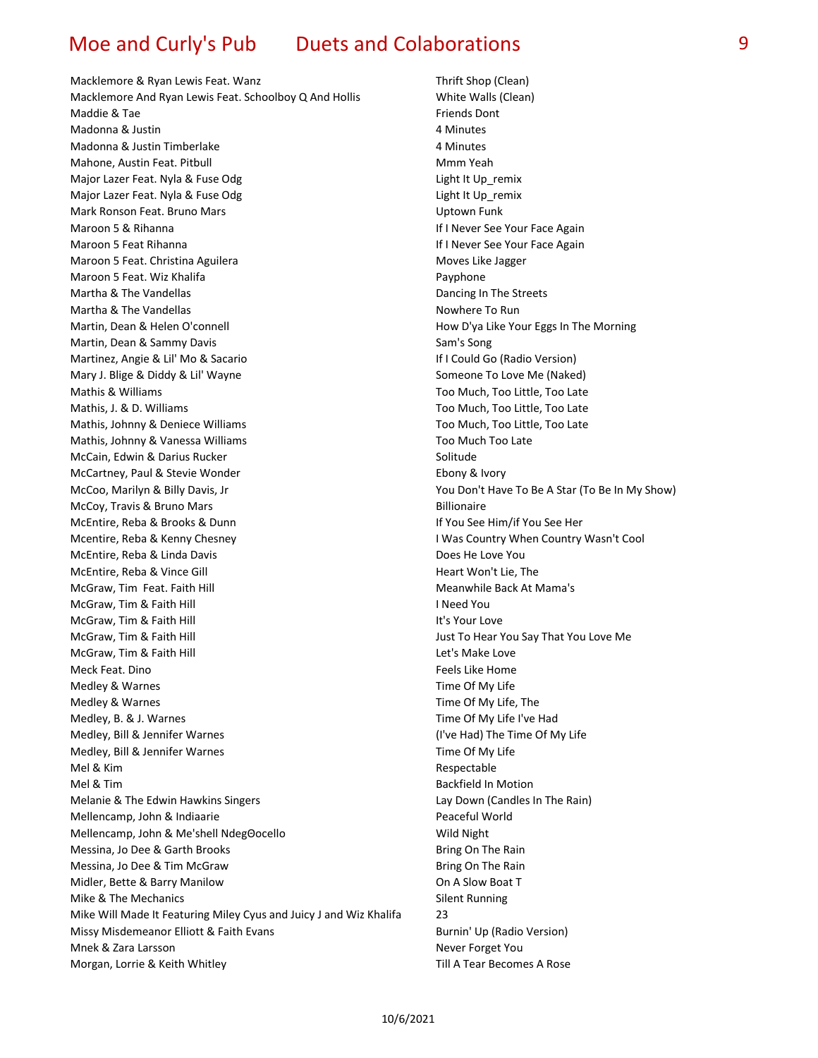Macklemore & Ryan Lewis Feat. Wanz Thrift Shop (Clean) Macklemore And Ryan Lewis Feat. Schoolboy Q And Hollis White Walls (Clean) Maddie & Tae Friends Dont in the Tag and the Tag and the Tag and the Tag and the Tag and the Tag and the Tag and the Tag and the Tag and the Tag and the Tag and the Tag and the Tag and the Tag and the Tag and the Tag and t Madonna & Justin 4 Minutes Madonna & Justin Timberlake 4 Minutes Mahone, Austin Feat. Pitbull Mmm Yeah Major Lazer Feat. Nyla & Fuse Odg Light It Up remix Major Lazer Feat. Nyla & Fuse Odg Light It Up\_remix Mark Ronson Feat. Bruno Mars Uptown Funk Maroon 5 & Rihanna **If I Never See Your Face Again** Maroon 5 Feat Rihanna **If I Never See Your Face Again** Maroon 5 Feat. Christina Aguilera Moves Like Jagger Maroon 5 Feat. Wiz Khalifa **Payphone** Payphone Martha & The Vandellas **Dancing In The Streets** Dancing In The Streets Martha & The Vandellas Nowhere To Run Nowhere To Run Nowhere To Run Nowhere To Run Nowhere To Run Nowhere To Run Martin, Dean & Helen O'connell **How D'ya Like Your Eggs In The Morning** Martin, Dean & Sammy Davis Sambook and Samma Sam's Song Martinez, Angie & Lil' Mo & Sacario **International Control Could Go (Radio Version**) Mary J. Blige & Diddy & Lil' Wayne Someone To Love Me (Naked) Mathis & Williams Too Much, Too Little, Too Late Mathis, J. & D. Williams Too Much, Too Little, Too Late Mathis, Johnny & Deniece Williams The Communication of the Too Much, Too Little, Too Late Mathis, Johnny & Vanessa Williams The Communication of the Too Much Too Late McCain, Edwin & Darius Rucker Solitude Solitude McCartney, Paul & Stevie Wonder **Ebony & Ivory** Ebony & Ivory McCoo, Marilyn & Billy Davis, Jr You Don't Have To Be A Star (To Be In My Show) McCoy, Travis & Bruno Mars Billionaire McEntire, Reba & Brooks & Dunn If You See Him/if You See Her Mcentire, Reba & Kenny Chesney **I Was Country When Country Wasn't Cool** McEntire, Reba & Linda Davis **Does He Love You** Does He Love You McEntire, Reba & Vince Gill **Heart Won't Lie**, The Heart Won't Lie, The McGraw, Tim Feat. Faith Hill Meanwhile Back At Mama's McGraw, Tim & Faith Hill **I Need You** McGraw, Tim & Faith Hill **It's Your Love** McGraw, Tim & Faith Hill Just To Hear You Say That You Love Me McGraw, Tim & Faith Hill **Let's Make Love Let's Make Love** Meck Feat. Dino Feels Like Home Feels Like Home Feels Like Home Medley & Warnes Time Of My Life Medley & Warnes **Time Of My Life, The My Life, The My Life**, The My Life, The Of My Life, The Medley, B. & J. Warnes Time Of My Life I've Had Medley, Bill & Jennifer Warnes (I've Had) The Time Of My Life Medley, Bill & Jennifer Warnes Time Of My Life Mel & Kim **Respectable** Mel & Tim Backfield In Motion and Backfield In Motion Melanie & The Edwin Hawkins Singers Lay Down (Candles In The Rain) Mellencamp, John & Indiaarie **Peaceful World** Peaceful World Mellencamp, John & Me'shell NdegΘocello Wild Night Messina, Jo Dee & Garth Brooks **Bring On The Rain** Bring On The Rain Messina, Jo Dee & Tim McGraw Bring On The Rain Midler, Bette & Barry Manilow On A Slow Boat T Mike & The Mechanics **Silent Running** Silent Running Mike Will Made It Featuring Miley Cyus and Juicy J and Wiz Khalifa 23 Missy Misdemeanor Elliott & Faith Evans Burnin' Up (Radio Version) Burnin' Up (Radio Version) Mnek & Zara Larsson Never Forget You Morgan, Lorrie & Keith Whitley The Communication of the Till A Tear Becomes A Rose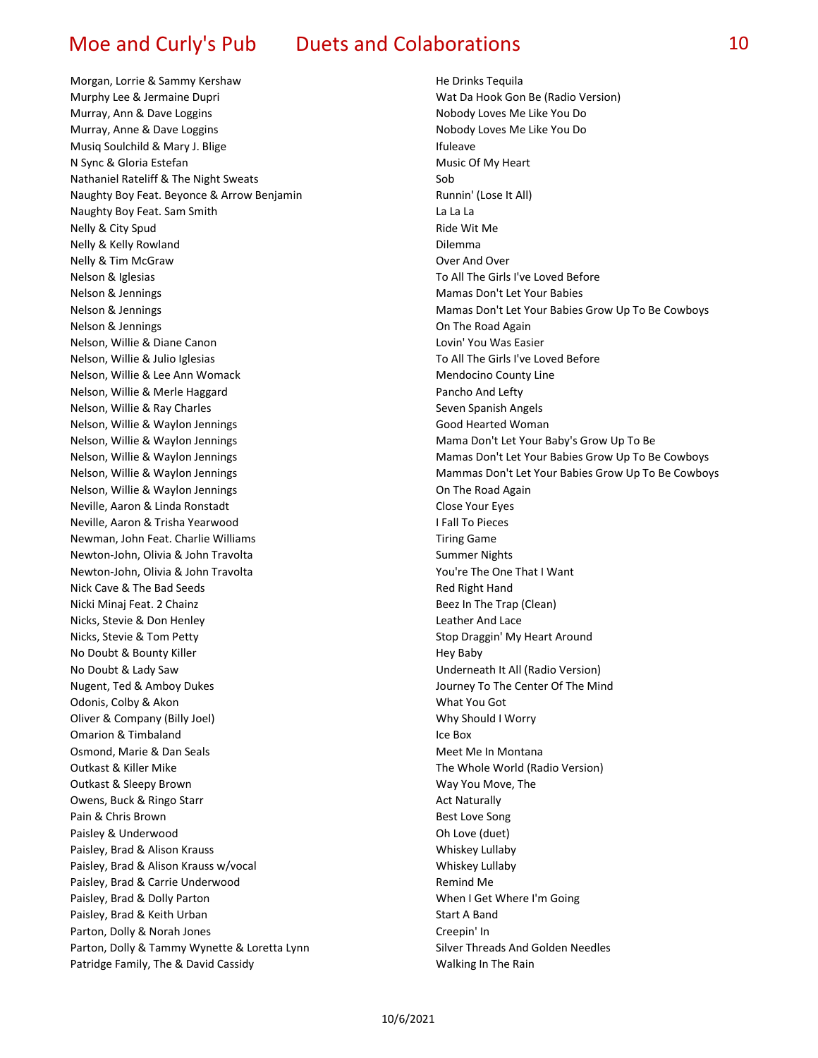Morgan, Lorrie & Sammy Kershaw **Morgan, Lorrie & Sammy Kershaw** He Drinks Tequila Murphy Lee & Jermaine Dupri North Communisties and Matical Matic Da Hook Gon Be (Radio Version) Murray, Ann & Dave Loggins Nobody Loves Me Like You Do Murray, Anne & Dave Loggins Nobody Loves Me Like You Do Musiq Soulchild & Mary J. Blige Internal Controller and Musiq Soulchild & Mary J. Blige N Sync & Gloria Estefan Music Of My Heart Nathaniel Rateliff & The Night Sweats Sob Naughty Boy Feat. Beyonce & Arrow Benjamin Runnin' (Lose It All) Naughty Boy Feat. Sam Smith La La La Nelly & City Spud **Ride Wit Me** Nelly & Kelly Rowland **Dilemma** Nelly & Tim McGraw **Over And Over And Over And Over And Over And Over And Over And Over And Over And Over And Over And Over And Over And Over And Over And Over And Over And Over And Over And Over And Over And Over And Over** Nelson & Iglesias To All The Girls I've Loved Before Nelson & Jennings Mamas Don't Let Your Babies Nelson & Jennings **On The Road Again On The Road Again** Nelson, Willie & Diane Canon Lovin' You Was Easier Nelson, Willie & Julio Iglesias To All The Girls I've Loved Before Nelson, Willie & Lee Ann Womack Mendocino County Line Nelson, Willie & Merle Haggard **Pancho And Lefty** Pancho And Lefty Nelson, Willie & Ray Charles Seven Spanish Angels Nelson, Willie & Waylon Jennings Good Hearted Woman Nelson, Willie & Waylon Jennings Manus Allen Mama Don't Let Your Baby's Grow Up To Be Nelson, Willie & Waylon Jennings **Communist Communist Communist Communist Communist Communist Communist Communist** Neville, Aaron & Linda Ronstadt Close Your Eyes Neville, Aaron & Trisha Yearwood I Fall To Pieces Newman, John Feat. Charlie Williams Tiring Game Newton-John, Olivia & John Travolta Summer Nights Summer Nights Newton-John, Olivia & John Travolta You're The One That I Want Nick Cave & The Bad Seeds **Red Right Hand** Red Right Hand Nicki Minaj Feat. 2 Chainz **Beez In The Trap (Clean)** Beez In The Trap (Clean) Nicks, Stevie & Don Henley **Leather And Lace Containers** Leather And Lace Nicks, Stevie & Tom Petty Nicks, Stevie & Tom Petty No Doubt & Bounty Killer No Doubt & Bounty Killer No Doubt & Lady Saw Underneath It All (Radio Version) Nugent, Ted & Amboy Dukes **Journey To The Center Of The Mind** Odonis, Colby & Akon What You Got New York Color What You Got New York Color What You Got Oliver & Company (Billy Joel) Why Should I Worry **Omarion & Timbaland Ice Box Ice Box Ice Box Ice Box** Osmond, Marie & Dan Seals Meet Meet Me In Montana Outkast & Killer Mike The Whole World (Radio Version) Outkast & Sleepy Brown Way You Move, The Owens, Buck & Ringo Starr Act Naturally and Act Naturally Pain & Chris Brown **Best Love Song** Paisley & Underwood **Oh Love (duet) Oh Love (duet) Oh Love (duet)** Paisley, Brad & Alison Krauss Whiskey Lullaby Paisley, Brad & Alison Krauss w/vocal Whiskey Lullaby Paisley, Brad & Carrie Underwood **Remind Me** Paisley, Brad & Dolly Parton New York When I Get Where I'm Going Paisley, Brad & Keith Urban Start A Band Parton, Dolly & Norah Jones Creepin' In Parton, Dolly & Tammy Wynette & Loretta Lynn Sulver Threads And Golden Needles Patridge Family, The & David Cassidy Malking In The Rain

Nelson & Jennings Mamas Don't Let Your Babies Grow Up To Be Cowboys Nelson, Willie & Waylon Jennings Mamas Don't Let Your Babies Grow Up To Be Cowboys Nelson, Willie & Waylon Jennings Mammas Don't Let Your Babies Grow Up To Be Cowboys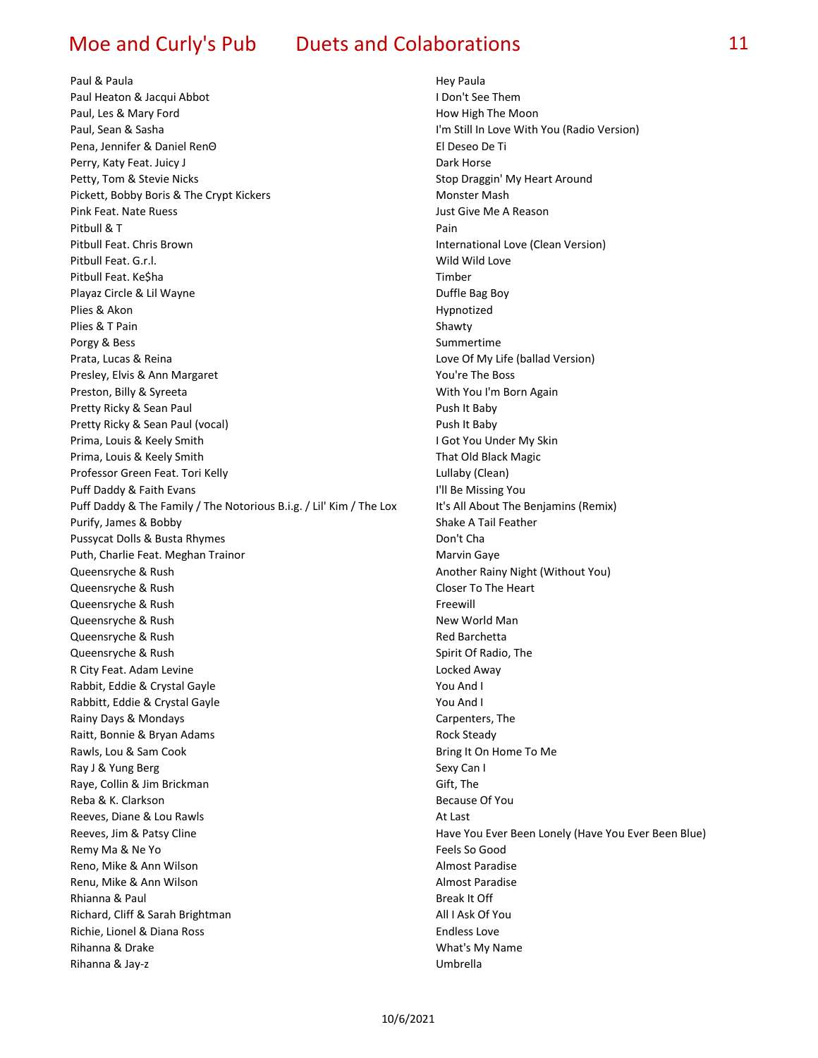Paul & Paula **Hey Paula** Hey Paula Paul Heaton & Jacqui Abbot **I Don't See Them** Paul, Les & Mary Ford **How High The Moon** Paul, Sean & Sasha I'm Still In Love With You (Radio Version) Pena, Jennifer & Daniel RenΘ **El Deseo De Ti** Perry, Katy Feat. Juicy J Dark Horse Petty, Tom & Stevie Nicks Stop Draggin' My Heart Around Pickett, Bobby Boris & The Crypt Kickers Monster Mash Pink Feat. Nate Ruess **Just Give Me A Reason** Pitbull & T Pain Pitbull Feat. Chris Brown International Love (Clean Version) Pitbull Feat. G.r.l. Wild Wild Love Pitbull Feat. Ke\$ha Timber Playaz Circle & Lil Wayne **Duffle Bag Boy** Plies & Akon Hypnotized Plies & T Pain Shawty and Shawty Shawty Shawty Porgy & Bess Summertime Prata, Lucas & Reina Love Of My Life (ballad Version) Presley, Elvis & Ann Margaret **You're The Boss** You're The Boss Preston, Billy & Syreeta With You I'm Born Again Pretty Ricky & Sean Paul Push It Baby Pretty Ricky & Sean Paul (vocal) example a pure of the Push It Baby Prima, Louis & Keely Smith **I Got You Under My Skin** I Got You Under My Skin Prima, Louis & Keely Smith That Old Black Magic Professor Green Feat. Tori Kelly Controller and the Controller Mullaby (Clean) Puff Daddy & Faith Evans **I'll Be Missing You** Puff Daddy & The Family / The Notorious B.i.g. / Lil' Kim / The Lox It's All About The Benjamins (Remix) Purify, James & Bobby Shake A Tail Feather Pussycat Dolls & Busta Rhymes **Don't Channels Containers** Don't Cha Puth, Charlie Feat. Meghan Trainor Marvin Gaye Marvin Gaye Queensryche & Rush Another Rainy Night (Without You) Queensryche & Rush Closer To The Heart Queensryche & Rush Freewill and the Contract of the Contract of the Freewill and the Freewill and the Freewill **Queensryche & Rush New Yorld Manuscrip Control Manuscrip Control Manuscrip Control Manuscrip Control Manuscrip** Queensryche & Rush Red Barchetta Red Barchetta Queensryche & Rush Spirit Of Radio, The Spirit Of Radio, The R City Feat. Adam Levine Locked Away Rabbit, Eddie & Crystal Gayle **Xames Accord Accord Accord Accord Accord Accord Accord Accord Accord Accord Accord** Rabbitt, Eddie & Crystal Gayle You And I Rainy Days & Mondays **Carpenters**, The Raitt, Bonnie & Bryan Adams Rock Steady Rock Steady Rawls, Lou & Sam Cook **Bring It On Home To Me Bring It On Home To Me** Ray J & Yung Berg Sexy Can I Raye, Collin & Jim Brickman Gift, The Reba & K. Clarkson **Because Of You** Reeves, Diane & Lou Rawls **At Last** At Last Reeves, Jim & Patsy Cline Have You Ever Been Lonely (Have You Ever Been Blue) Remy Ma & Ne Yo Feels So Good Reno, Mike & Ann Wilson **Almost Paradise** Almost Paradise Renu, Mike & Ann Wilson **Almost Paradise** Almost Paradise Rhianna & Paul Break It Officers and Break It Officers and Break It Officers and Break It Officers and Break It Officers and Break It Officers and Break It Officers and Break It Officers and Break It Officers and Break It Richard, Cliff & Sarah Brightman All I Ask Of You Richie, Lionel & Diana Ross **Endless Love** Rihanna & Drake What's My Name What's My Name What's My Name Rihanna & Jay-z Umbrella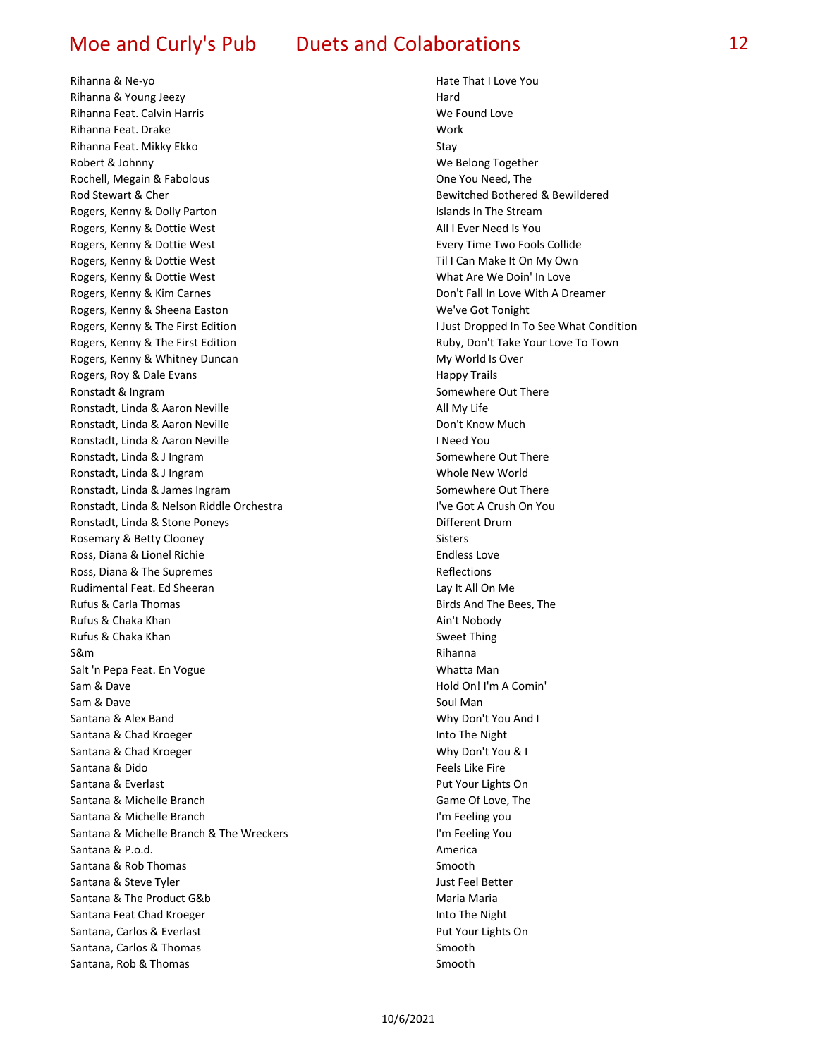Rihanna & Ne-yo **Hate That I Love You Hate That I Love You** Rihanna & Young Jeezy **Hard** Hard **Hard** Hard **Hard** Rihanna Feat. Calvin Harris We Found Love Rihanna Feat. Drake Work Rihanna Feat. Mikky Ekko Stay Robert & Johnny **We Belong Together** Rochell, Megain & Fabolous **Contract Contract Contract Contract Cone** You Need, The Rod Stewart & Cher Bewitched Bothered & Bewildered & Bewitched Bothered & Bewildered Rogers, Kenny & Dolly Parton **In The Stream** Islands In The Stream Rogers, Kenny & Dottie West All I Ever Need Is You Rogers, Kenny & Dottie West Every Time Two Fools Collide Rogers, Kenny & Dottie West **Till Can Make It On My Own** Till Can Make It On My Own Rogers, Kenny & Dottie West What Are We Doin' In Love Rogers, Kenny & Kim Carnes **Don't Fall In Love With A Dreamer** Don't Fall In Love With A Dreamer Rogers, Kenny & Sheena Easton We've Got Tonight Rogers, Kenny & The First Edition I Just Dropped In To See What Condition Rogers, Kenny & The First Edition Ruby, Don't Take Your Love To Town Rogers, Kenny & Whitney Duncan My World Is Over Rogers, Roy & Dale Evans Happy Trails And The Evans Happy Trails Ronstadt & Ingram Somewhere Out There is a state of the Somewhere Out There is a state of the Somewhere Out There Ronstadt, Linda & Aaron Neville All My Life All My Life Ronstadt, Linda & Aaron Neville **National Constantine Control** Don't Know Much Ronstadt, Linda & Aaron Neville **I Need You** Ronstadt, Linda & J Ingram Somewhere Out There Compared to the Somewhere Out There Ronstadt, Linda & J Ingram Whole New World Ronstadt, Linda & James Ingram Somewhere Out There Somewhere Out There Ronstadt, Linda & Nelson Riddle Orchestra **International Information Constant** I've Got A Crush On You Ronstadt, Linda & Stone Poneys **Different Drum** Different Drum Rosemary & Betty Clooney Sisters and the Sisters of the Sisters of the Sisters of the Sisters of the Sisters of the Sisters of the Sisters of the Sisters of the Sisters of the Sisters of the Sisters of the Sisters of the S Ross, Diana & Lionel Richie Endless Love Ross, Diana & The Supremes Reflections Rudimental Feat. Ed Sheeran Lay It All On Me Rufus & Carla Thomas **Birds And The Bees, The Bees**, The Bees, The Bees, The Bees, The Bees, The Bees, The Bees, The Bees, The Bees, The Bees, The Bees, The Bees, The Bees, The Bees, The Bees, The Bees, The Bees, The Bees, Rufus & Chaka Khan Ain't Nobody and Ain't Nobody Rufus & Chaka Khan Sweet Thing S&m **Rihanna** Salt 'n Pepa Feat. En Vogue Whatta Man Sam & Dave **Hold On! I'm A Comin'** Communication of the Hold On! I'm A Comin' Sam & Dave Soul Man Soul Man Soul Man Soul Man Soul Man Soul Man Soul Man Soul Man Soul Man Soul Man Soul Man Santana & Alex Band Why Don't You And I Santana & Chad Kroeger **Into The Night** Into The Night Santana & Chad Kroeger No. 2008 and 2008 and 2009 why Don't You & I Santana & Dido Feels Like Fire Santana & Everlast **Put Your Lights On** Santana & Michelle Branch Game Of Love, The Game Of Love, The Game Of Love, The Game Of Love, The Game Of Love, The Game Of Love, The Game Of Love, The Game Of Love, The Game Of Love, The Game Of Love, The Game Of Love, Th Santana & Michelle Branch Iversity of the Santana & Michelle Branch II m Feeling you Santana & Michelle Branch & The Wreckers **I'm Feeling You** Santana & P.o.d. **America** and *Santana* & P.o.d. Santana & Rob Thomas Smooth Santana & Steve Tyler Just Feel Better Just Feel Better Santana & The Product G&b Maria Maria Maria Maria Maria Maria Maria Maria Maria Maria Maria Maria Maria Maria Santana Feat Chad Kroeger **Into The Night** Into The Night Santana, Carlos & Everlast **Put Your Lights On** Santana, Carlos & Thomas Smooth Santana, Rob & Thomas Smooth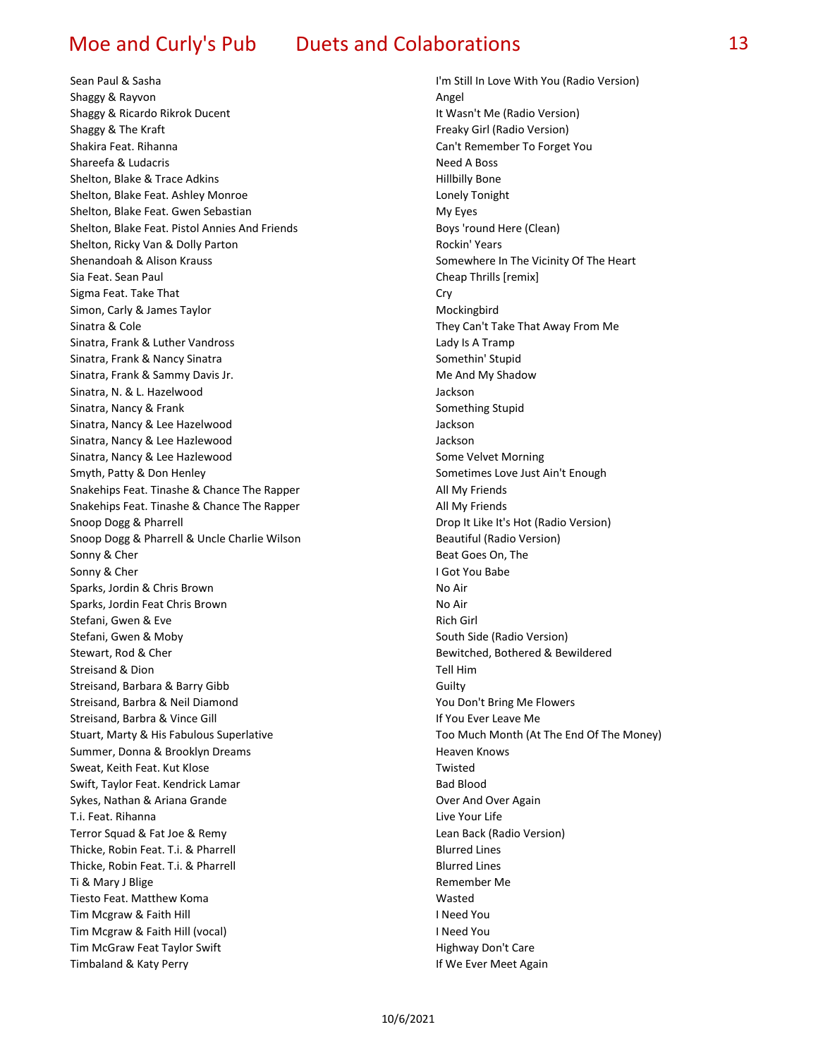Sean Paul & Sasha I'm Still In Love With You (Radio Version) Shaggy & Rayvon **Angel Angel Angel Angel Angel Angel Angel Angel Angel Angel Angel Angel Angel Angel Angel Angel Angel Angel Angel Angel Angel Angel Angel Angel Angel Angel** Shaggy & Ricardo Rikrok Ducent **It Wasn't Me (Radio Version)** It Wasn't Me (Radio Version) Shaggy & The Kraft Freaky Girl (Radio Version) Shakira Feat. Rihanna Can't Remember To Forget You Shareefa & Ludacris **Need A Boss** Need A Boss Shelton, Blake & Trace Adkins Hillbilly Bone Shelton, Blake Feat. Ashley Monroe Lonely Tonight Shelton, Blake Feat. Gwen Sebastian My Eyes Shelton, Blake Feat. Pistol Annies And Friends Boys' round Here (Clean) Shelton, Ricky Van & Dolly Parton Rockin' Years Rockin' Years Shenandoah & Alison Krauss Shenandoah & Alison Krauss Somewhere In The Vicinity Of The Heart Sia Feat. Sean Paul Cheap Thrills [remix] Sigma Feat. Take That Cry Simon, Carly & James Taylor Mockingbird Sinatra & Cole **They Can't Take That Away From Me** Sinatra, Frank & Luther Vandross Lady Is A Tramp Canadian Annual Islam Lady Is A Tramp Sinatra, Frank & Nancy Sinatra Somethin' Stupid Sinatra, Frank & Sammy Davis Jr. Metal and My Shadow Metal Muslim Metal Muslim Metal Muslim Muslim Metal Muslim Metal Muslim Muslim Muslim Muslim Muslim Muslim Muslim Muslim Muslim Muslim Muslim Muslim Muslim Muslim Muslim Sinatra, N. & L. Hazelwood Jackson Sinatra, Nancy & Frank Something Stupid Something Stupid Sinatra, Nancy & Lee Hazelwood and Jackson Jackson Sinatra, Nancy & Lee Hazlewood Jackson Sinatra, Nancy & Lee Hazlewood Some Velvet Morning Smyth, Patty & Don Henley Sometimes Love Just Ain't Enough Snakehips Feat. Tinashe & Chance The Rapper All My Friends Snakehips Feat. Tinashe & Chance The Rapper All My Friends Snoop Dogg & Pharrell **Drop It Like It's Hot (Radio Version**) **Drop It Like It's Hot (Radio Version**) Snoop Dogg & Pharrell & Uncle Charlie Wilson Beautiful (Radio Version) Sonny & Cher Beat Goes On, The Beat Goes On, The Sonny & Cher **I Got You Babe** Sparks, Jordin & Chris Brown No Air Sparks, Jordin Feat Chris Brown No Air Stefani, Gwen & Eve Rich Girl (1999) and the Stefani, Gwen & Eve Rich Girl (1999) and the Stefani Girl (1999) and the Stefani Girl (1999) and the Stefani Girl (1999) and the Stefani Girl (1999) and the Stefani Girl (1999) Stefani, Gwen & Moby South Side (Radio Version) Stewart, Rod & Cher **Bewitched, Bothered & Bewildered** Streisand & Dion **Tell Him** Tell Him Streisand, Barbara & Barry Gibb Guilty Streisand, Barbra & Neil Diamond You Don't Bring Me Flowers Streisand, Barbra & Vince Gill **If You Even Leave Me If You Ever Leave Me** Stuart, Marty & His Fabulous Superlative The Money Too Much Month (At The End Of The Money) Summer, Donna & Brooklyn Dreams **Heaven Knows** Heaven Knows Sweat, Keith Feat. Kut Klose Twisted Swift, Taylor Feat. Kendrick Lamar Bad Blood Bad Blood Sykes, Nathan & Ariana Grande **Over And Over And Over Again** T.i. Feat. Rihanna Live Your Life Terror Squad & Fat Joe & Remy Lean Back (Radio Version) Thicke, Robin Feat. T.i. & Pharrell Blurred Lines Thicke, Robin Feat. T.i. & Pharrell Blurred Lines Ti & Mary J Blige Remember Me Tiesto Feat. Matthew Koma Wasted Wasted Wasted Wasted Wasted Wasted Wasted Wasted Wasted Wasted Wasted Wasted W Tim Mcgraw & Faith Hill **I Need You** Tim Mcgraw & Faith Hill (vocal) **I Need You** Tim McGraw Feat Taylor Swift **Highway Don't Care** Timbaland & Katy Perry **If We Ever Meet Again**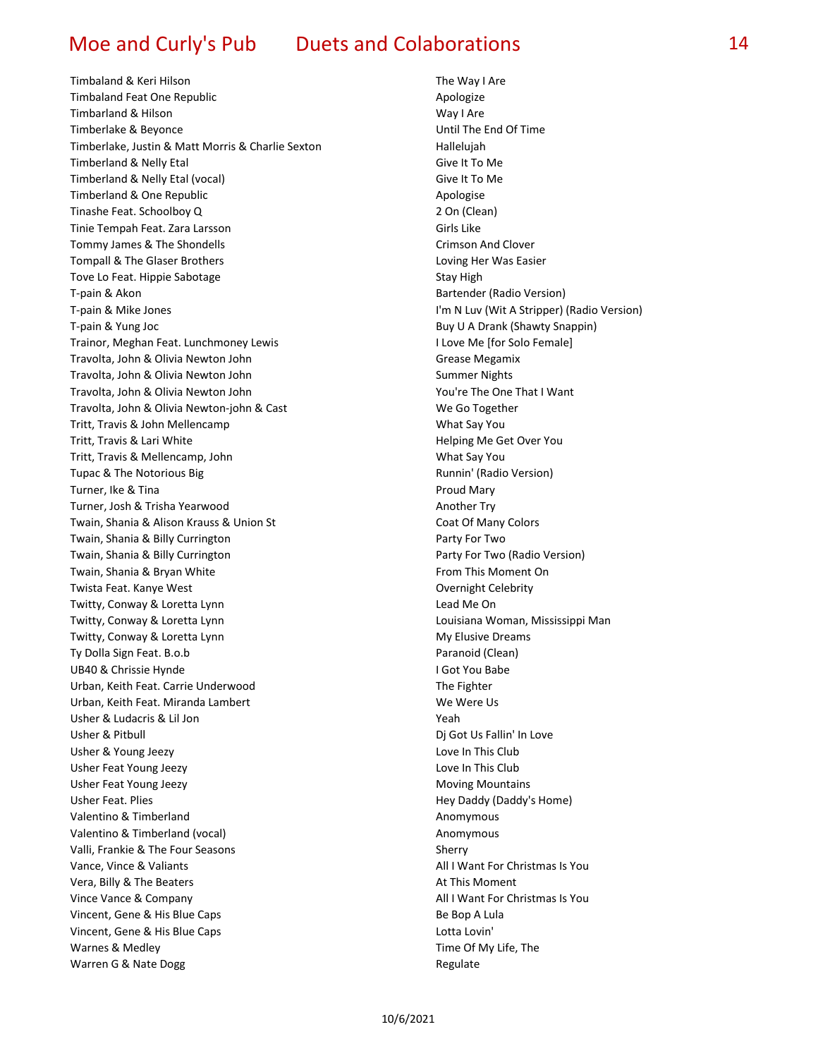Timbaland & Keri Hilson The Way I Are Timbaland Feat One Republic Apologize Timbarland & Hilson Way I Area Way I Area Way I Area Way I Area Way I Area Way I Area Way I Area Way I Area Wa Timberlake & Beyonce **The End Of Time Inc.** The End Of Time Inc. The End Of Time Inc. The End Of Time Inc. The End Of Time Inc. The End Of Time Inc. The End Of Time Inc. The End Of Time Inc. The End Of Time Inc. The Inc. T Timberlake, Justin & Matt Morris & Charlie Sexton Hallelujah Timberland & Nelly Etal Give It To Me Timberland & Nelly Etal (vocal) Give It To Me Timberland & One Republic Apologise Tinashe Feat. Schoolboy Q 2 On (Clean) Tinie Tempah Feat. Zara Larsson Girls Like Tommy James & The Shondells **Crimson And Clover** Crimson And Clover Tompall & The Glaser Brothers Loving Her Was Easier Tove Lo Feat. Hippie Sabotage Stay High T-pain & Akon Bartender (Radio Version) and Bartender (Radio Version) T-pain & Mike Jones I'm N Luv (Wit A Stripper) (Radio Version) T-pain & Yung Joc Buy U A Drank (Shawty Snappin) Trainor, Meghan Feat. Lunchmoney Lewis I Love Me [for Solo Female] Travolta, John & Olivia Newton John Grammann Grease Megamix Travolta, John & Olivia Newton John Summer Nights Summer Nights Travolta, John & Olivia Newton John You're The One That I Want Travolta, John & Olivia Newton-john & Cast Newton Newton Newton, Newton Newton, Newton Newton, Newton, Newton, N Tritt, Travis & John Mellencamp What Say You Tritt, Travis & Lari White **Helping Me Get Over You** Tritt, Travis & Mellencamp, John What Say You Tupac & The Notorious Big The State of Contract Contract Contract Contract Contract Contract Contract Contract Contract Contract Contract Contract Contract Contract Contract Contract Contract Contract Contract Contract Con Turner, Ike & Tina Proud Mary Proud Mary Proud Mary Turner, Josh & Trisha Yearwood Another Try Twain, Shania & Alison Krauss & Union St Coat Of Many Colors Coat Of Many Colors Twain, Shania & Billy Currington **Party For Two** Party For Two Twain, Shania & Billy Currington **Party For Two (Radio Version)** Party For Two (Radio Version) Twain, Shania & Bryan White From This Moment On Twista Feat. Kanye West **Communist Celebrity** Covernight Celebrity Twitty, Conway & Loretta Lynn Lead Me On Twitty, Conway & Loretta Lynn Louisiana Woman, Mississippi Man Twitty, Conway & Loretta Lynn My Elusive Dreams Ty Dolla Sign Feat. B.o.b **Paranoid (Clean)** Paranoid (Clean) UB40 & Chrissie Hynde **I Got You Babe** I Got You Babe Urban, Keith Feat. Carrie Underwood The Fighter The Fighter Urban, Keith Feat. Miranda Lambert New York We Were Us Usher & Ludacris & Lil Jon Yeah Usher & Pitbull Discovery and Discovery and Discovery Control Discovery Discovery Discovery Discovery Discovery Usher & Young Jeezy **Love In This Club** Usher Feat Young Jeezy **Love In This Club** Usher Feat Young Jeezy **Moving Mountains** Moving Mountains Usher Feat. Plies Hey Daddy (Daddy's Home) and the Hey Daddy (Daddy's Home) Valentino & Timberland Anomymous Valentino & Timberland (vocal) Material Anomymous Anomymous Valli, Frankie & The Four Seasons Sherry Sherry Sherry Vance, Vince & Valiants **All I Want For Christmas Is You** Vera, Billy & The Beaters **At This Moment** Controller and At This Moment Vince Vance & Company **All I Want For Christmas Is You** Vincent, Gene & His Blue Caps Be Bop A Lula Vincent, Gene & His Blue Caps Lotta Lovin' Warnes & Medley **Time Of My Life, The Warnes & Medley** Warren G & Nate Dogg Regulate